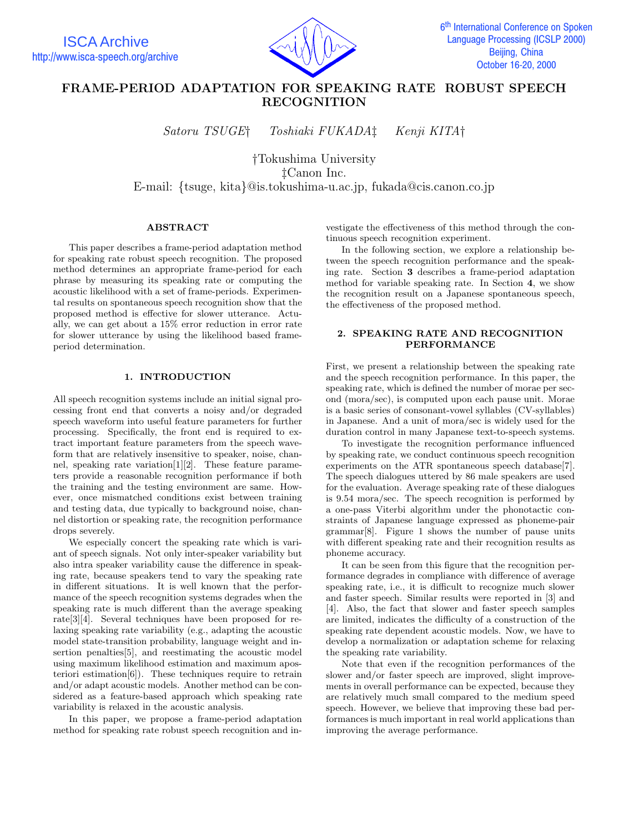

# **FRAME-PERIOD ADAPTATION FOR SPEAKING RATE ROBUST SPEECH RECOGNITION**

*Satoru TSUGE† Toshiaki FUKADA‡ Kenji KITA†*

*†*Tokushima University *‡*Canon Inc. E-mail: *{*tsuge, kita*}*@is.tokushima-u.ac.jp, fukada@cis.canon.co.jp

## **ABSTRACT**

This paper describes a frame-period adaptation method for speaking rate robust speech recognition. The proposed method determines an appropriate frame-period for each phrase by measuring its speaking rate or computing the acoustic likelihood with a set of frame-periods. Experimental results on spontaneous speech recognition show that the proposed method is effective for slower utterance. Actually, we can get about a 15% error reduction in error rate for slower utterance by using the likelihood based frameperiod determination.

# **1. INTRODUCTION**

All speech recognition systems include an initial signal processing front end that converts a noisy and/or degraded speech waveform into useful feature parameters for further processing. Specifically, the front end is required to extract important feature parameters from the speech waveform that are relatively insensitive to speaker, noise, channel, speaking rate variation[1][2]. These feature parameters provide a reasonable recognition performance if both the training and the testing environment are same. However, once mismatched conditions exist between training and testing data, due typically to background noise, channel distortion or speaking rate, the recognition performance drops severely.

We especially concert the speaking rate which is variant of speech signals. Not only inter-speaker variability but also intra speaker variability cause the difference in speaking rate, because speakers tend to vary the speaking rate in different situations. It is well known that the performance of the speech recognition systems degrades when the speaking rate is much different than the average speaking rate[3][4]. Several techniques have been proposed for relaxing speaking rate variability (e.g., adapting the acoustic model state-transition probability, language weight and insertion penalties[5], and reestimating the acoustic model using maximum likelihood estimation and maximum aposteriori estimation[6]). These techniques require to retrain and/or adapt acoustic models. Another method can be considered as a feature-based approach which speaking rate variability is relaxed in the acoustic analysis.

In this paper, we propose a frame-period adaptation method for speaking rate robust speech recognition and investigate the effectiveness of this method through the continuous speech recognition experiment.

In the following section, we explore a relationship between the speech recognition performance and the speaking rate. Section **3** describes a frame-period adaptation method for variable speaking rate. In Section **4**, we show the recognition result on a Japanese spontaneous speech, the effectiveness of the proposed method.

# **2. SPEAKING RATE AND RECOGNITION PERFORMANCE**

First, we present a relationship between the speaking rate and the speech recognition performance. In this paper, the speaking rate, which is defined the number of morae per second (mora/sec), is computed upon each pause unit. Morae is a basic series of consonant-vowel syllables (CV-syllables) in Japanese. And a unit of mora/sec is widely used for the duration control in many Japanese text-to-speech systems.

To investigate the recognition performance influenced by speaking rate, we conduct continuous speech recognition experiments on the ATR spontaneous speech database<sup>[7]</sup>. The speech dialogues uttered by 86 male speakers are used for the evaluation. Average speaking rate of these dialogues is 9.54 mora/sec. The speech recognition is performed by a one-pass Viterbi algorithm under the phonotactic constraints of Japanese language expressed as phoneme-pair grammar[8]. Figure 1 shows the number of pause units with different speaking rate and their recognition results as phoneme accuracy.

It can be seen from this figure that the recognition performance degrades in compliance with difference of average speaking rate, i.e., it is difficult to recognize much slower and faster speech. Similar results were reported in [3] and [4]. Also, the fact that slower and faster speech samples are limited, indicates the difficulty of a construction of the speaking rate dependent acoustic models. Now, we have to develop a normalization or adaptation scheme for relaxing the speaking rate variability.

Note that even if the recognition performances of the slower and/or faster speech are improved, slight improvements in overall performance can be expected, because they are relatively much small compared to the medium speed speech. However, we believe that improving these bad performances is much important in real world applications than improving the average performance.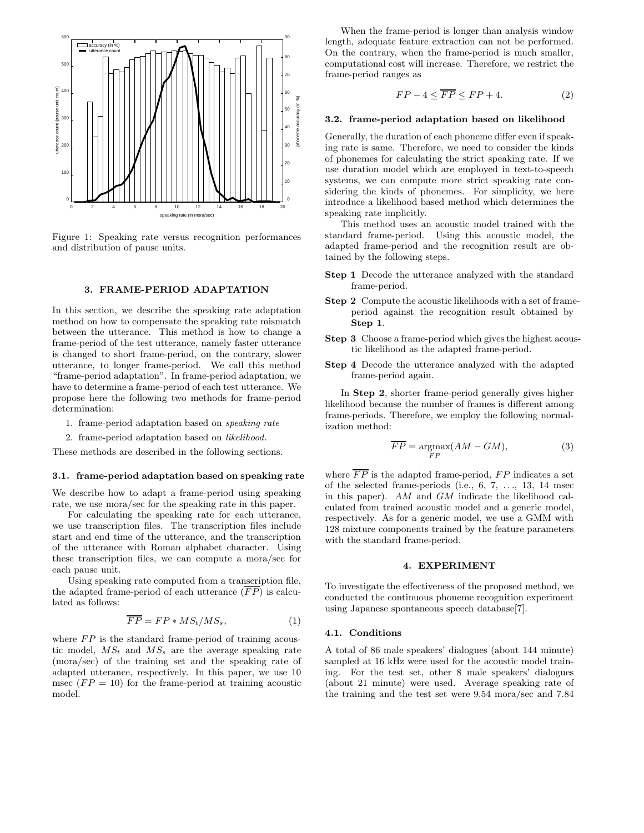

Figure 1: Speaking rate versus recognition performances and distribution of pause units.

## **3. FRAME-PERIOD ADAPTATION**

In this section, we describe the speaking rate adaptation method on how to compensate the speaking rate mismatch between the utterance. This method is how to change a frame-period of the test utterance, namely faster utterance is changed to short frame-period, on the contrary, slower utterance, to longer frame-period. We call this method "frame-period adaptation". In frame-period adaptation, we have to determine a frame-period of each test utterance. We propose here the following two methods for frame-period determination:

- 1. frame-period adaptation based on *speaking rate*
- 2. frame-period adaptation based on *likelihood*.

These methods are described in the following sections.

#### **3.1. frame-period adaptation based on speaking rate**

We describe how to adapt a frame-period using speaking rate, we use mora/sec for the speaking rate in this paper.

For calculating the speaking rate for each utterance, we use transcription files. The transcription files include start and end time of the utterance, and the transcription of the utterance with Roman alphabet character. Using these transcription files, we can compute a mora/sec for each pause unit.

Using speaking rate computed from a transcription file, the adapted frame-period of each utterance  $(\overline{FP})$  is calculated as follows:

$$
\overline{FP} = FP * MS_t / MS_s,\tag{1}
$$

where *FP* is the standard frame-period of training acoustic model,  $MS_t$  and  $MS_s$  are the average speaking rate (mora/sec) of the training set and the speaking rate of adapted utterance, respectively. In this paper, we use 10 msec  $(FP = 10)$  for the frame-period at training acoustic model.

When the frame-period is longer than analysis window length, adequate feature extraction can not be performed. On the contrary, when the frame-period is much smaller, computational cost will increase. Therefore, we restrict the frame-period ranges as

$$
FP - 4 \leq \overline{FP} \leq FP + 4. \tag{2}
$$

#### **3.2. frame-period adaptation based on likelihood**

Generally, the duration of each phoneme differ even if speaking rate is same. Therefore, we need to consider the kinds of phonemes for calculating the strict speaking rate. If we use duration model which are employed in text-to-speech systems, we can compute more strict speaking rate considering the kinds of phonemes. For simplicity, we here introduce a likelihood based method which determines the speaking rate implicitly.

This method uses an acoustic model trained with the standard frame-period. Using this acoustic model, the adapted frame-period and the recognition result are obtained by the following steps.

- **Step 1** Decode the utterance analyzed with the standard frame-period.
- **Step 2** Compute the acoustic likelihoods with a set of frameperiod against the recognition result obtained by **Step 1**.
- **Step 3** Choose a frame-period which gives the highest acoustic likelihood as the adapted frame-period.
- **Step 4** Decode the utterance analyzed with the adapted frame-period again.

In **Step 2**, shorter frame-period generally gives higher likelihood because the number of frames is different among frame-periods. Therefore, we employ the following normalization method:

$$
\overline{FP} = \underset{FP}{\text{argmax}} (AM - GM), \tag{3}
$$

where  $\overline{FP}$  is the adapted frame-period,  $FP$  indicates a set of the selected frame-periods (i.e., 6, 7, *...*, 13, 14 msec in this paper). *AM* and *GM* indicate the likelihood calculated from trained acoustic model and a generic model, respectively. As for a generic model, we use a GMM with 128 mixture components trained by the feature parameters with the standard frame-period.

## **4. EXPERIMENT**

To investigate the effectiveness of the proposed method, we conducted the continuous phoneme recognition experiment using Japanese spontaneous speech database[7].

#### **4.1. Conditions**

A total of 86 male speakers' dialogues (about 144 minute) sampled at 16 kHz were used for the acoustic model training. For the test set, other 8 male speakers' dialogues (about 21 minute) were used. Average speaking rate of the training and the test set were 9.54 mora/sec and 7.84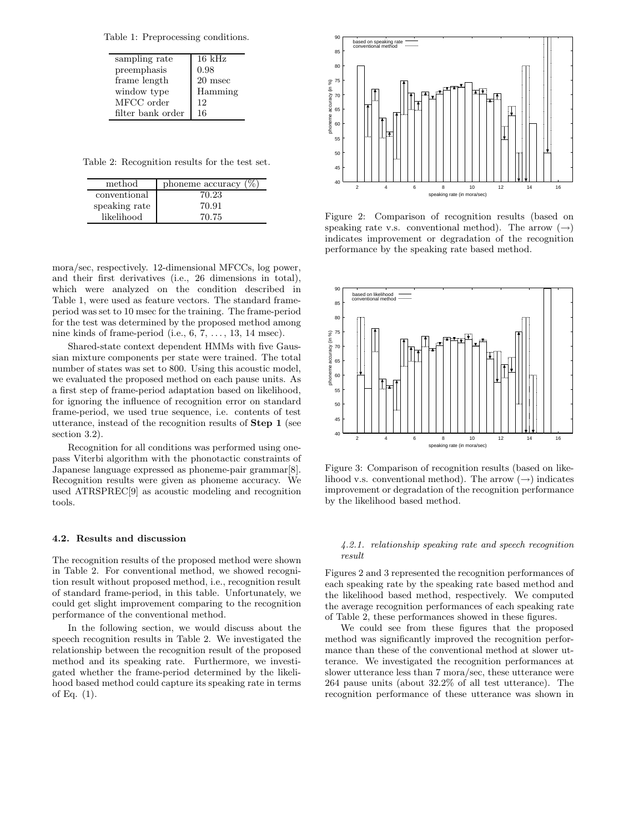Table 1: Preprocessing conditions.

| $16 \text{ kHz}$ |
|------------------|
| 0.98             |
| 20 msec          |
| Hamming          |
| 12               |
| 16               |
|                  |

Table 2: Recognition results for the test set.

| method        | phoneme accuracy $(\% )$ |
|---------------|--------------------------|
| conventional  | 70.23                    |
| speaking rate | 70.91                    |
| likelihood    | 70.75                    |

mora/sec, respectively. 12-dimensional MFCCs, log power, and their first derivatives (i.e., 26 dimensions in total), which were analyzed on the condition described in Table 1, were used as feature vectors. The standard frameperiod was set to 10 msec for the training. The frame-period for the test was determined by the proposed method among nine kinds of frame-period (i.e., 6, 7, . . . , 13, 14 msec).

Shared-state context dependent HMMs with five Gaussian mixture components per state were trained. The total number of states was set to 800. Using this acoustic model, we evaluated the proposed method on each pause units. As a first step of frame-period adaptation based on likelihood, for ignoring the influence of recognition error on standard frame-period, we used true sequence, i.e. contents of test utterance, instead of the recognition results of **Step 1** (see section 3.2).

Recognition for all conditions was performed using onepass Viterbi algorithm with the phonotactic constraints of Japanese language expressed as phoneme-pair grammar[8]. Recognition results were given as phoneme accuracy. We used ATRSPREC[9] as acoustic modeling and recognition tools.

## **4.2. Results and discussion**

The recognition results of the proposed method were shown in Table 2. For conventional method, we showed recognition result without proposed method, i.e., recognition result of standard frame-period, in this table. Unfortunately, we could get slight improvement comparing to the recognition performance of the conventional method.

In the following section, we would discuss about the speech recognition results in Table 2. We investigated the relationship between the recognition result of the proposed method and its speaking rate. Furthermore, we investigated whether the frame-period determined by the likelihood based method could capture its speaking rate in terms of Eq. (1).



Figure 2: Comparison of recognition results (based on speaking rate v.s. conventional method). The arrow  $(\rightarrow)$ indicates improvement or degradation of the recognition performance by the speaking rate based method.



Figure 3: Comparison of recognition results (based on likelihood v.s. conventional method). The arrow  $(\rightarrow)$  indicates improvement or degradation of the recognition performance by the likelihood based method.

#### *4.2.1. relationship speaking rate and speech recognition result*

Figures 2 and 3 represented the recognition performances of each speaking rate by the speaking rate based method and the likelihood based method, respectively. We computed the average recognition performances of each speaking rate of Table 2, these performances showed in these figures.

We could see from these figures that the proposed method was significantly improved the recognition performance than these of the conventional method at slower utterance. We investigated the recognition performances at slower utterance less than 7 mora/sec, these utterance were 264 pause units (about 32.2% of all test utterance). The recognition performance of these utterance was shown in